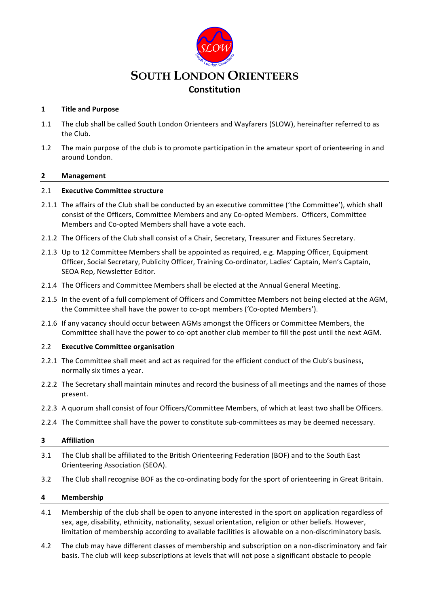

# **1 Title and Purpose**

- 1.1 The club shall be called South London Orienteers and Wayfarers (SLOW), hereinafter referred to as the Club.
- 1.2 The main purpose of the club is to promote participation in the amateur sport of orienteering in and around London.

## **2 Management**

## 2.1 **Executive Committee structure**

- 2.1.1 The affairs of the Club shall be conducted by an executive committee ('the Committee'), which shall consist of the Officers, Committee Members and any Co-opted Members. Officers, Committee Members and Co-opted Members shall have a vote each.
- 2.1.2 The Officers of the Club shall consist of a Chair, Secretary, Treasurer and Fixtures Secretary.
- 2.1.3 Up to 12 Committee Members shall be appointed as required, e.g. Mapping Officer, Equipment Officer, Social Secretary, Publicity Officer, Training Co-ordinator, Ladies' Captain, Men's Captain, SEOA Rep, Newsletter Editor.
- 2.1.4 The Officers and Committee Members shall be elected at the Annual General Meeting.
- 2.1.5 In the event of a full complement of Officers and Committee Members not being elected at the AGM, the Committee shall have the power to co-opt members ('Co-opted Members').
- 2.1.6 If any vacancy should occur between AGMs amongst the Officers or Committee Members, the Committee shall have the power to co-opt another club member to fill the post until the next AGM.

## 2.2 **Executive Committee organisation**

- 2.2.1 The Committee shall meet and act as required for the efficient conduct of the Club's business, normally six times a year.
- 2.2.2 The Secretary shall maintain minutes and record the business of all meetings and the names of those present.
- 2.2.3 A quorum shall consist of four Officers/Committee Members, of which at least two shall be Officers.
- 2.2.4 The Committee shall have the power to constitute sub-committees as may be deemed necessary.

## **3 Affiliation**

- 3.1 The Club shall be affiliated to the British Orienteering Federation (BOF) and to the South East Orienteering Association (SEOA).
- 3.2 The Club shall recognise BOF as the co-ordinating body for the sport of orienteering in Great Britain.

## **4 Membership**

- 4.1 Membership of the club shall be open to anyone interested in the sport on application regardless of sex, age, disability, ethnicity, nationality, sexual orientation, religion or other beliefs. However, limitation of membership according to available facilities is allowable on a non-discriminatory basis.
- 4.2 The club may have different classes of membership and subscription on a non-discriminatory and fair basis. The club will keep subscriptions at levels that will not pose a significant obstacle to people